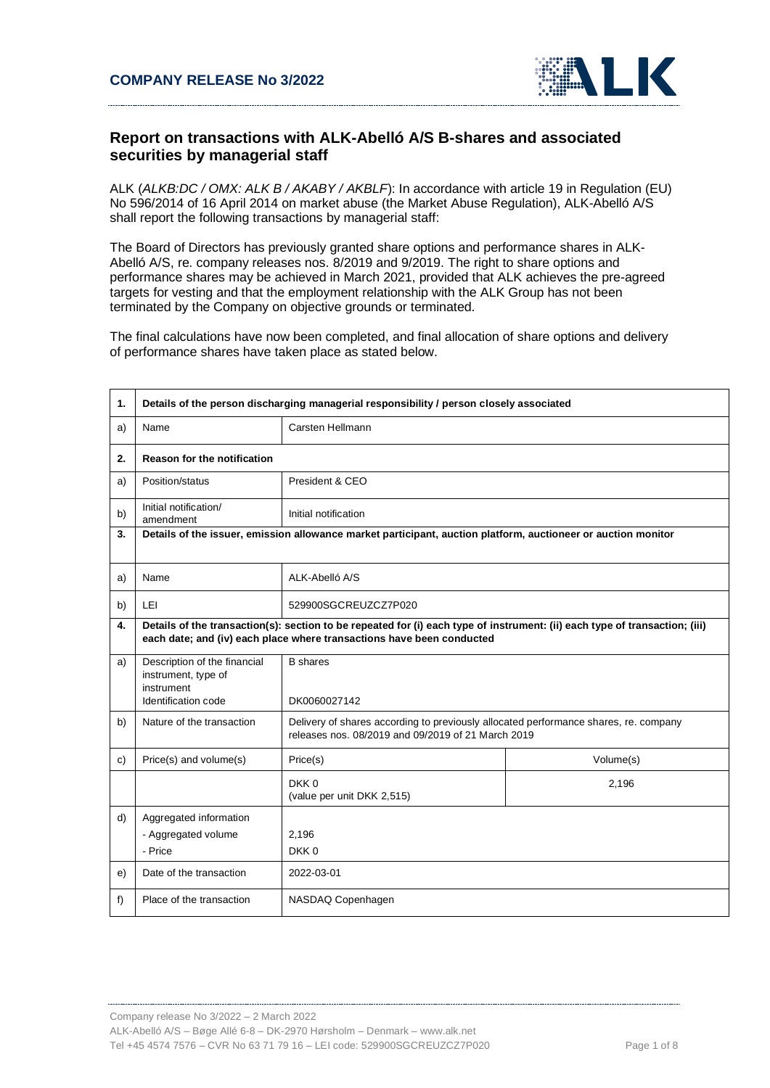

## **Report on transactions with ALK-Abelló A/S B-shares and associated securities by managerial staff**

ALK (*ALKB:DC / OMX: ALK B / AKABY / AKBLF*): In accordance with article 19 in Regulation (EU) No 596/2014 of 16 April 2014 on market abuse (the Market Abuse Regulation), ALK-Abelló A/S shall report the following transactions by managerial staff:

The Board of Directors has previously granted share options and performance shares in ALK-Abelló A/S, re. company releases nos. 8/2019 and 9/2019. The right to share options and performance shares may be achieved in March 2021, provided that ALK achieves the pre-agreed targets for vesting and that the employment relationship with the ALK Group has not been terminated by the Company on objective grounds or terminated.

The final calculations have now been completed, and final allocation of share options and delivery of performance shares have taken place as stated below.

| 1. | Details of the person discharging managerial responsibility / person closely associated                                                                                                              |                                                                                                                                            |           |
|----|------------------------------------------------------------------------------------------------------------------------------------------------------------------------------------------------------|--------------------------------------------------------------------------------------------------------------------------------------------|-----------|
| a) | Name                                                                                                                                                                                                 | Carsten Hellmann                                                                                                                           |           |
| 2. | <b>Reason for the notification</b>                                                                                                                                                                   |                                                                                                                                            |           |
| a) | Position/status                                                                                                                                                                                      | President & CEO                                                                                                                            |           |
| b) | Initial notification/<br>amendment                                                                                                                                                                   | Initial notification                                                                                                                       |           |
| 3. | Details of the issuer, emission allowance market participant, auction platform, auctioneer or auction monitor                                                                                        |                                                                                                                                            |           |
| a) | Name                                                                                                                                                                                                 | ALK-Abelló A/S                                                                                                                             |           |
| b) | LEI                                                                                                                                                                                                  | 529900SGCREUZCZ7P020                                                                                                                       |           |
| 4. | Details of the transaction(s): section to be repeated for (i) each type of instrument: (ii) each type of transaction; (iii)<br>each date; and (iv) each place where transactions have been conducted |                                                                                                                                            |           |
| a) | Description of the financial<br>instrument, type of<br>instrument<br>Identification code                                                                                                             | <b>B</b> shares<br>DK0060027142                                                                                                            |           |
| b) | Nature of the transaction                                                                                                                                                                            | Delivery of shares according to previously allocated performance shares, re. company<br>releases nos. 08/2019 and 09/2019 of 21 March 2019 |           |
| c) | Price(s) and volume(s)                                                                                                                                                                               | Price(s)                                                                                                                                   | Volume(s) |
|    |                                                                                                                                                                                                      | DKK0<br>(value per unit DKK 2,515)                                                                                                         | 2,196     |
| d) | Aggregated information<br>- Aggregated volume<br>- Price                                                                                                                                             | 2,196<br>DKK0                                                                                                                              |           |
| e) | Date of the transaction                                                                                                                                                                              | 2022-03-01                                                                                                                                 |           |
| f) | Place of the transaction                                                                                                                                                                             | NASDAQ Copenhagen                                                                                                                          |           |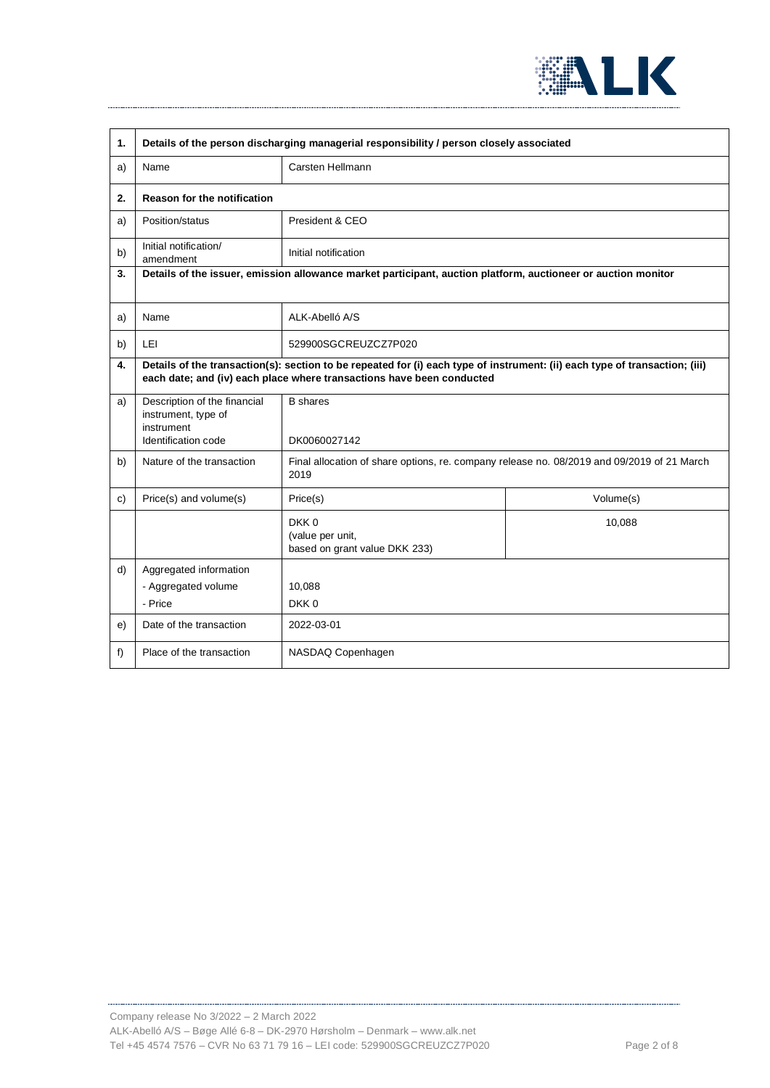

| 1. | Details of the person discharging managerial responsibility / person closely associated                                                                                                              |                                                                                                    |           |
|----|------------------------------------------------------------------------------------------------------------------------------------------------------------------------------------------------------|----------------------------------------------------------------------------------------------------|-----------|
| a) | Name                                                                                                                                                                                                 | Carsten Hellmann                                                                                   |           |
| 2. | <b>Reason for the notification</b>                                                                                                                                                                   |                                                                                                    |           |
| a) | Position/status                                                                                                                                                                                      | President & CEO                                                                                    |           |
| b) | Initial notification/<br>amendment                                                                                                                                                                   | Initial notification                                                                               |           |
| 3. | Details of the issuer, emission allowance market participant, auction platform, auctioneer or auction monitor                                                                                        |                                                                                                    |           |
| a) | Name                                                                                                                                                                                                 | ALK-Abelló A/S                                                                                     |           |
| b) | <b>LEI</b>                                                                                                                                                                                           | 529900SGCREUZCZ7P020                                                                               |           |
| 4. | Details of the transaction(s): section to be repeated for (i) each type of instrument: (ii) each type of transaction; (iii)<br>each date; and (iv) each place where transactions have been conducted |                                                                                                    |           |
| a) | Description of the financial<br>instrument, type of<br>instrument<br>Identification code                                                                                                             | <b>B</b> shares<br>DK0060027142                                                                    |           |
| b) | Nature of the transaction                                                                                                                                                                            | Final allocation of share options, re. company release no. 08/2019 and 09/2019 of 21 March<br>2019 |           |
| c) | Price(s) and volume(s)                                                                                                                                                                               | Price(s)                                                                                           | Volume(s) |
|    |                                                                                                                                                                                                      | DKK0<br>(value per unit,<br>based on grant value DKK 233)                                          | 10,088    |
| d) | Aggregated information<br>- Aggregated volume<br>- Price                                                                                                                                             | 10,088<br>DKK0                                                                                     |           |
| e) | Date of the transaction                                                                                                                                                                              | 2022-03-01                                                                                         |           |
| f) | Place of the transaction                                                                                                                                                                             | NASDAQ Copenhagen                                                                                  |           |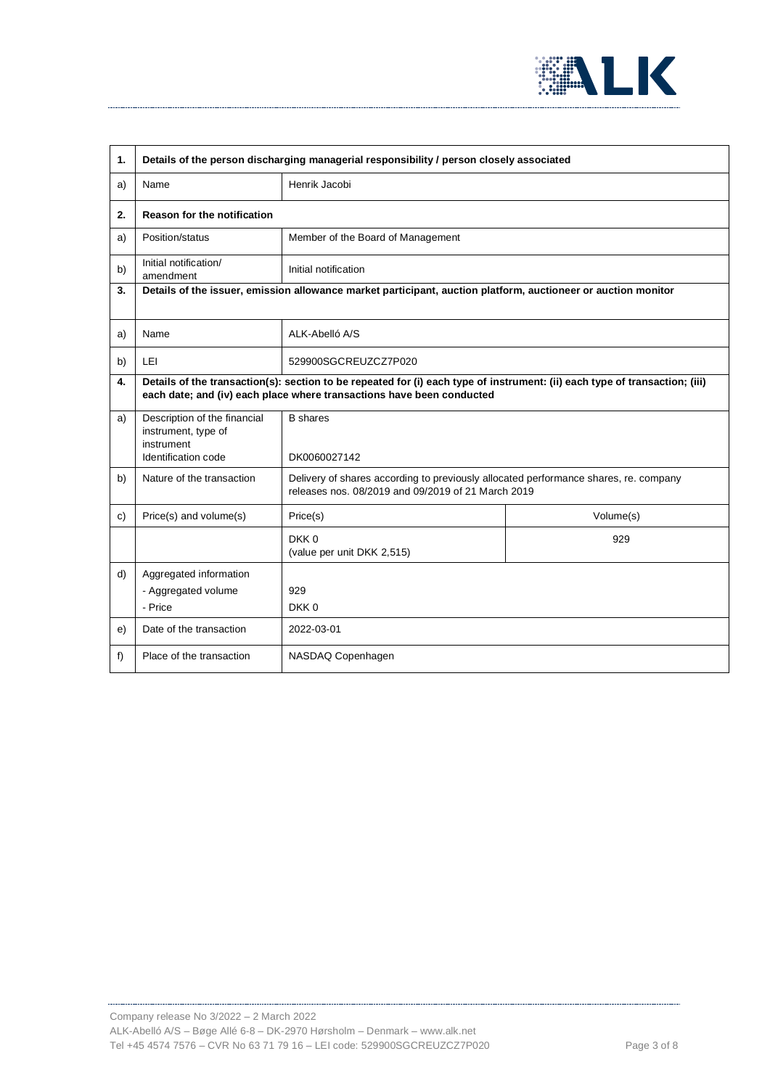

| 1. | Details of the person discharging managerial responsibility / person closely associated                                                                                                              |                                                                                                                                            |           |  |
|----|------------------------------------------------------------------------------------------------------------------------------------------------------------------------------------------------------|--------------------------------------------------------------------------------------------------------------------------------------------|-----------|--|
| a) | Name                                                                                                                                                                                                 | Henrik Jacobi                                                                                                                              |           |  |
| 2. | <b>Reason for the notification</b>                                                                                                                                                                   |                                                                                                                                            |           |  |
| a) | Position/status                                                                                                                                                                                      | Member of the Board of Management                                                                                                          |           |  |
| b) | Initial notification/<br>amendment                                                                                                                                                                   | Initial notification                                                                                                                       |           |  |
| 3. | Details of the issuer, emission allowance market participant, auction platform, auctioneer or auction monitor                                                                                        |                                                                                                                                            |           |  |
| a) | Name                                                                                                                                                                                                 | ALK-Abelló A/S                                                                                                                             |           |  |
| b) | LEI                                                                                                                                                                                                  | 529900SGCREUZCZ7P020                                                                                                                       |           |  |
| 4. | Details of the transaction(s): section to be repeated for (i) each type of instrument: (ii) each type of transaction; (iii)<br>each date; and (iv) each place where transactions have been conducted |                                                                                                                                            |           |  |
| a) | Description of the financial<br>instrument, type of<br>instrument<br>Identification code                                                                                                             | <b>B</b> shares<br>DK0060027142                                                                                                            |           |  |
| b) | Nature of the transaction                                                                                                                                                                            | Delivery of shares according to previously allocated performance shares, re. company<br>releases nos. 08/2019 and 09/2019 of 21 March 2019 |           |  |
| c) | Price(s) and volume(s)                                                                                                                                                                               | Price(s)                                                                                                                                   | Volume(s) |  |
|    |                                                                                                                                                                                                      | DKK0<br>(value per unit DKK 2,515)                                                                                                         | 929       |  |
| d) | Aggregated information<br>- Aggregated volume<br>- Price                                                                                                                                             | 929<br>DKK0                                                                                                                                |           |  |
| e) | Date of the transaction                                                                                                                                                                              | 2022-03-01                                                                                                                                 |           |  |
| f) | Place of the transaction                                                                                                                                                                             | NASDAQ Copenhagen                                                                                                                          |           |  |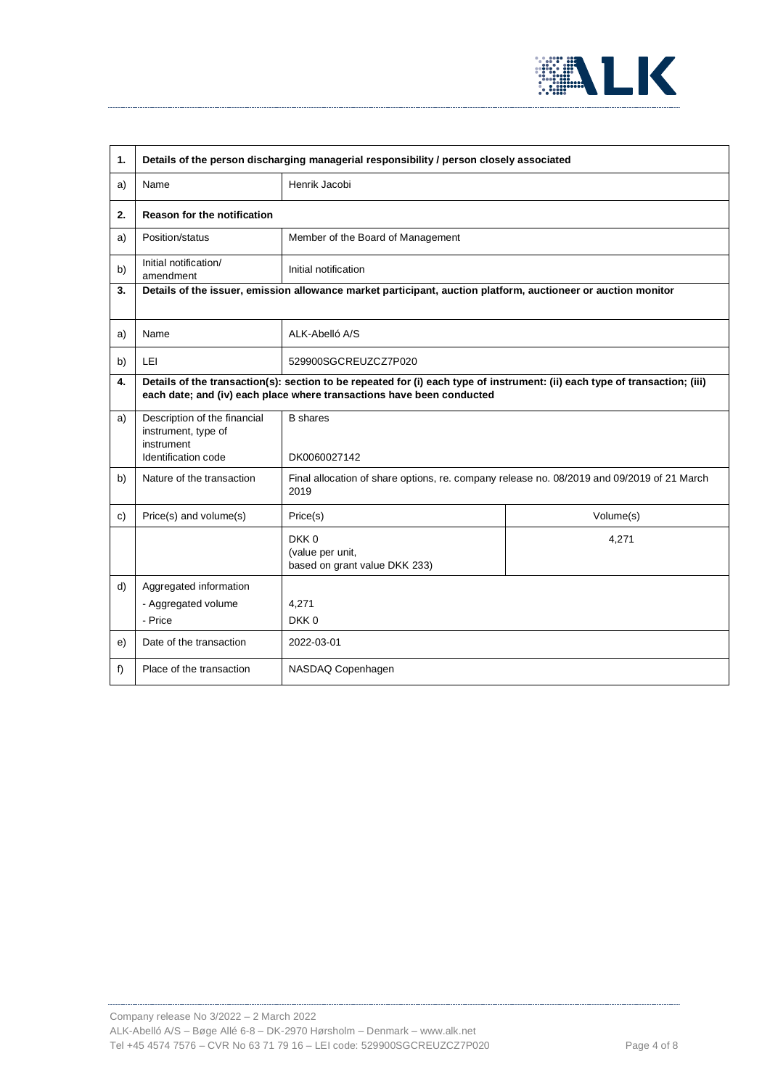

| 1. | Details of the person discharging managerial responsibility / person closely associated                                                                                                              |                                                           |           |
|----|------------------------------------------------------------------------------------------------------------------------------------------------------------------------------------------------------|-----------------------------------------------------------|-----------|
| a) | Name                                                                                                                                                                                                 | Henrik Jacobi                                             |           |
| 2. | <b>Reason for the notification</b>                                                                                                                                                                   |                                                           |           |
| a) | Position/status                                                                                                                                                                                      | Member of the Board of Management                         |           |
| b) | Initial notification/<br>amendment                                                                                                                                                                   | Initial notification                                      |           |
| 3. | Details of the issuer, emission allowance market participant, auction platform, auctioneer or auction monitor                                                                                        |                                                           |           |
| a) | Name                                                                                                                                                                                                 | ALK-Abelló A/S                                            |           |
| b) | LEI                                                                                                                                                                                                  | 529900SGCREUZCZ7P020                                      |           |
| 4. | Details of the transaction(s): section to be repeated for (i) each type of instrument: (ii) each type of transaction; (iii)<br>each date; and (iv) each place where transactions have been conducted |                                                           |           |
| a) | Description of the financial<br>instrument, type of<br>instrument<br>Identification code                                                                                                             | <b>B</b> shares<br>DK0060027142                           |           |
| b) | Nature of the transaction<br>Final allocation of share options, re. company release no. 08/2019 and 09/2019 of 21 March<br>2019                                                                      |                                                           |           |
| c) | Price(s) and volume(s)                                                                                                                                                                               | Price(s)                                                  | Volume(s) |
|    |                                                                                                                                                                                                      | DKK0<br>(value per unit,<br>based on grant value DKK 233) | 4,271     |
| d) | Aggregated information<br>- Aggregated volume<br>- Price                                                                                                                                             | 4,271<br>DKK0                                             |           |
| e) | Date of the transaction                                                                                                                                                                              | 2022-03-01                                                |           |
| f) | Place of the transaction                                                                                                                                                                             | NASDAQ Copenhagen                                         |           |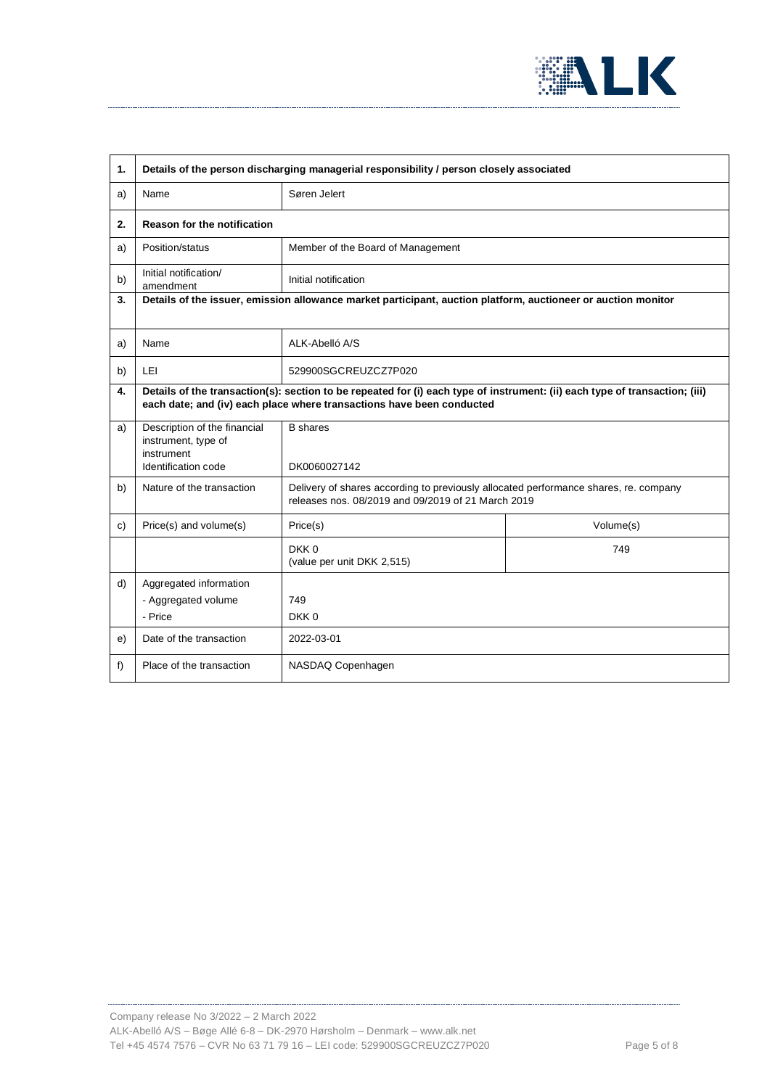

| 1. | Details of the person discharging managerial responsibility / person closely associated                                                                                                              |                                                                                                                                            |           |
|----|------------------------------------------------------------------------------------------------------------------------------------------------------------------------------------------------------|--------------------------------------------------------------------------------------------------------------------------------------------|-----------|
| a) | Name                                                                                                                                                                                                 | Søren Jelert                                                                                                                               |           |
| 2. | <b>Reason for the notification</b>                                                                                                                                                                   |                                                                                                                                            |           |
| a) | Position/status                                                                                                                                                                                      | Member of the Board of Management                                                                                                          |           |
| b) | Initial notification/<br>amendment                                                                                                                                                                   | Initial notification                                                                                                                       |           |
| 3. | Details of the issuer, emission allowance market participant, auction platform, auctioneer or auction monitor                                                                                        |                                                                                                                                            |           |
| a) | Name                                                                                                                                                                                                 | ALK-Abelló A/S                                                                                                                             |           |
| b) | LEI                                                                                                                                                                                                  | 529900SGCREUZCZ7P020                                                                                                                       |           |
| 4. | Details of the transaction(s): section to be repeated for (i) each type of instrument: (ii) each type of transaction; (iii)<br>each date; and (iv) each place where transactions have been conducted |                                                                                                                                            |           |
| a) | Description of the financial<br>instrument, type of<br>instrument<br>Identification code                                                                                                             | <b>B</b> shares<br>DK0060027142                                                                                                            |           |
| b) | Nature of the transaction                                                                                                                                                                            | Delivery of shares according to previously allocated performance shares, re. company<br>releases nos. 08/2019 and 09/2019 of 21 March 2019 |           |
| c) | Price(s) and volume(s)                                                                                                                                                                               | Price(s)                                                                                                                                   | Volume(s) |
|    |                                                                                                                                                                                                      | DKK0<br>(value per unit DKK 2,515)                                                                                                         | 749       |
| d) | Aggregated information<br>- Aggregated volume<br>- Price                                                                                                                                             | 749<br>DKK0                                                                                                                                |           |
| e) | Date of the transaction                                                                                                                                                                              | 2022-03-01                                                                                                                                 |           |
| f) | Place of the transaction                                                                                                                                                                             | NASDAQ Copenhagen                                                                                                                          |           |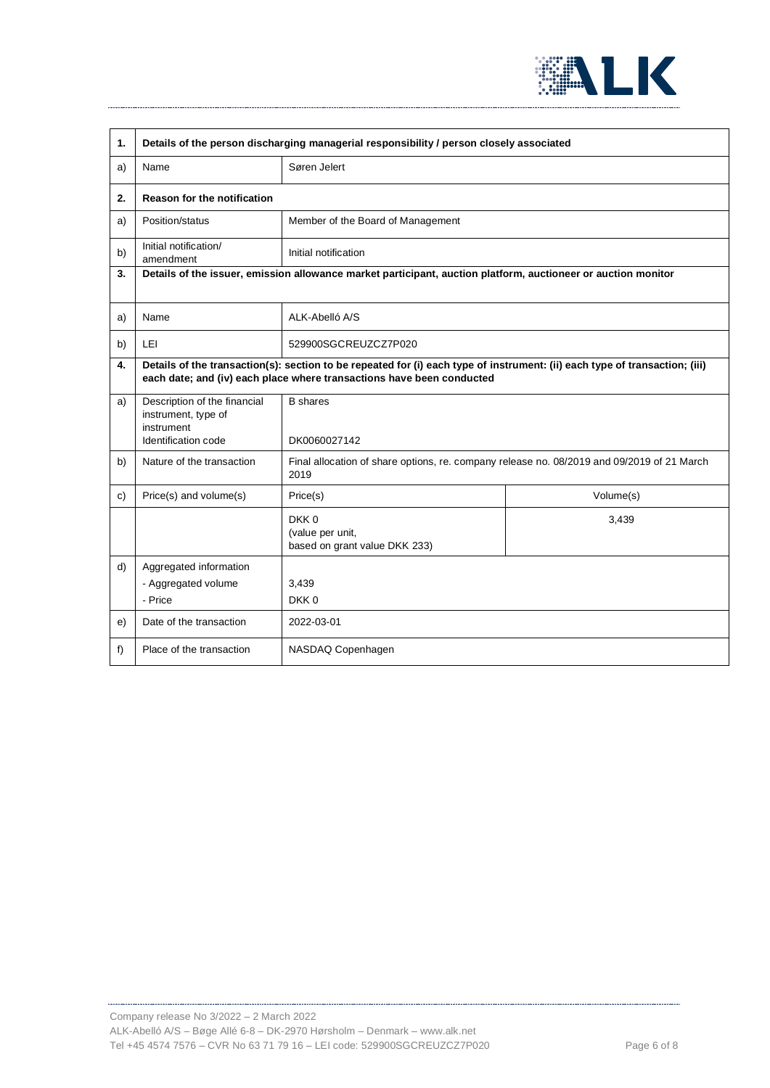

| 1. | Details of the person discharging managerial responsibility / person closely associated                                                                                                              |                                                                                                    |           |
|----|------------------------------------------------------------------------------------------------------------------------------------------------------------------------------------------------------|----------------------------------------------------------------------------------------------------|-----------|
| a) | Name                                                                                                                                                                                                 | Søren Jelert                                                                                       |           |
| 2. | Reason for the notification                                                                                                                                                                          |                                                                                                    |           |
| a) | Position/status                                                                                                                                                                                      | Member of the Board of Management                                                                  |           |
| b) | Initial notification/<br>amendment                                                                                                                                                                   | Initial notification                                                                               |           |
| 3. | Details of the issuer, emission allowance market participant, auction platform, auctioneer or auction monitor                                                                                        |                                                                                                    |           |
| a) | Name                                                                                                                                                                                                 | ALK-Abelló A/S                                                                                     |           |
| b) | LEI                                                                                                                                                                                                  | 529900SGCREUZCZ7P020                                                                               |           |
| 4. | Details of the transaction(s): section to be repeated for (i) each type of instrument: (ii) each type of transaction; (iii)<br>each date; and (iv) each place where transactions have been conducted |                                                                                                    |           |
| a) | Description of the financial<br>instrument, type of<br>instrument<br>Identification code                                                                                                             | <b>B</b> shares<br>DK0060027142                                                                    |           |
| b) | Nature of the transaction                                                                                                                                                                            | Final allocation of share options, re. company release no. 08/2019 and 09/2019 of 21 March<br>2019 |           |
| c) | Price(s) and volume(s)                                                                                                                                                                               | Price(s)                                                                                           | Volume(s) |
|    |                                                                                                                                                                                                      | DKK0<br>(value per unit,<br>based on grant value DKK 233)                                          | 3,439     |
| d) | Aggregated information<br>- Aggregated volume<br>- Price                                                                                                                                             | 3,439<br>DKK0                                                                                      |           |
| e) | Date of the transaction                                                                                                                                                                              | 2022-03-01                                                                                         |           |
| f) | Place of the transaction                                                                                                                                                                             | NASDAQ Copenhagen                                                                                  |           |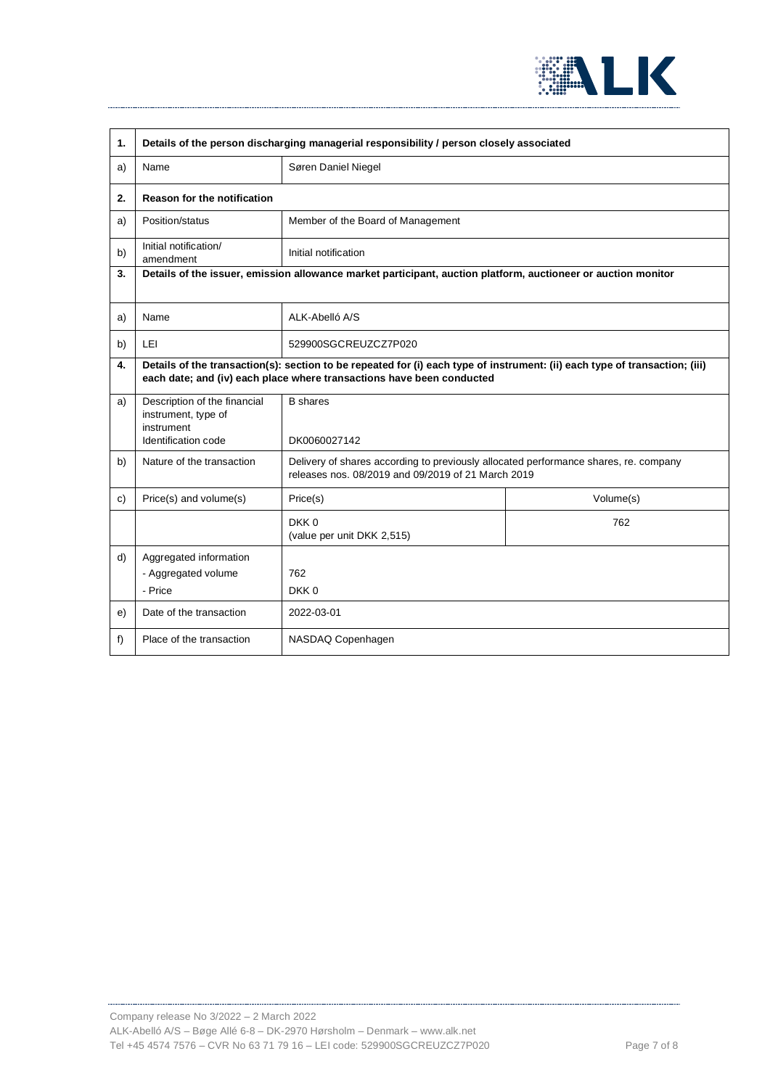

| 1. | Details of the person discharging managerial responsibility / person closely associated                                                                                                              |                                                                                                                                            |           |  |
|----|------------------------------------------------------------------------------------------------------------------------------------------------------------------------------------------------------|--------------------------------------------------------------------------------------------------------------------------------------------|-----------|--|
| a) | Name                                                                                                                                                                                                 | Søren Daniel Niegel                                                                                                                        |           |  |
| 2. | <b>Reason for the notification</b>                                                                                                                                                                   |                                                                                                                                            |           |  |
| a) | Position/status                                                                                                                                                                                      | Member of the Board of Management                                                                                                          |           |  |
| b) | Initial notification/<br>amendment                                                                                                                                                                   | Initial notification                                                                                                                       |           |  |
| 3. | Details of the issuer, emission allowance market participant, auction platform, auctioneer or auction monitor                                                                                        |                                                                                                                                            |           |  |
| a) | Name                                                                                                                                                                                                 | ALK-Abelló A/S                                                                                                                             |           |  |
| b) | LEI                                                                                                                                                                                                  | 529900SGCREUZCZ7P020                                                                                                                       |           |  |
| 4. | Details of the transaction(s): section to be repeated for (i) each type of instrument: (ii) each type of transaction; (iii)<br>each date; and (iv) each place where transactions have been conducted |                                                                                                                                            |           |  |
| a) | Description of the financial<br>instrument, type of<br>instrument<br>Identification code                                                                                                             | <b>B</b> shares<br>DK0060027142                                                                                                            |           |  |
| b) | Nature of the transaction                                                                                                                                                                            | Delivery of shares according to previously allocated performance shares, re. company<br>releases nos. 08/2019 and 09/2019 of 21 March 2019 |           |  |
| c) | Price(s) and volume(s)                                                                                                                                                                               | Price(s)                                                                                                                                   | Volume(s) |  |
|    |                                                                                                                                                                                                      | DKK0<br>(value per unit DKK 2,515)                                                                                                         | 762       |  |
| d) | Aggregated information<br>- Aggregated volume<br>- Price                                                                                                                                             | 762<br>DKK0                                                                                                                                |           |  |
| e) | Date of the transaction                                                                                                                                                                              | 2022-03-01                                                                                                                                 |           |  |
| f) | Place of the transaction                                                                                                                                                                             | NASDAQ Copenhagen                                                                                                                          |           |  |